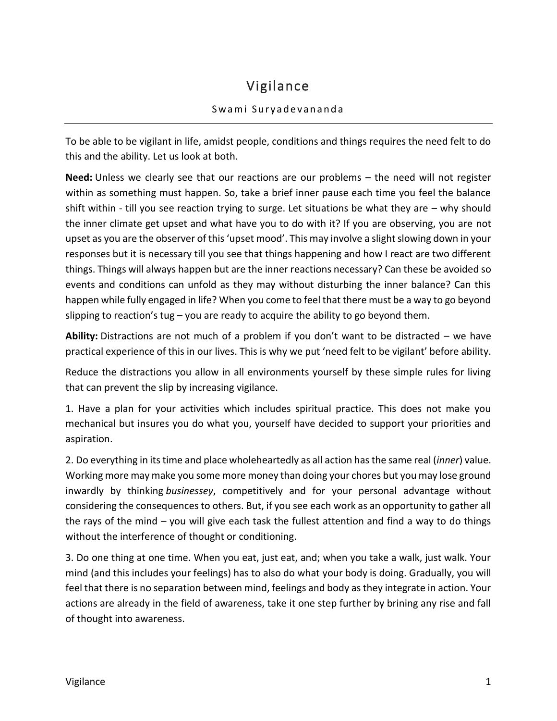## Vigilance

## Swami Suryadevananda

To be able to be vigilant in life, amidst people, conditions and things requires the need felt to do this and the ability. Let us look at both.

**Need:** Unless we clearly see that our reactions are our problems – the need will not register within as something must happen. So, take a brief inner pause each time you feel the balance shift within - till you see reaction trying to surge. Let situations be what they are – why should the inner climate get upset and what have you to do with it? If you are observing, you are not upset as you are the observer of this 'upset mood'. This may involve a slight slowing down in your responses but it is necessary till you see that things happening and how I react are two different things. Things will always happen but are the inner reactions necessary? Can these be avoided so events and conditions can unfold as they may without disturbing the inner balance? Can this happen while fully engaged in life? When you come to feel that there must be a way to go beyond slipping to reaction's tug – you are ready to acquire the ability to go beyond them.

**Ability:** Distractions are not much of a problem if you don't want to be distracted – we have practical experience of this in our lives. This is why we put 'need felt to be vigilant' before ability.

Reduce the distractions you allow in all environments yourself by these simple rules for living that can prevent the slip by increasing vigilance.

1. Have a plan for your activities which includes spiritual practice. This does not make you mechanical but insures you do what you, yourself have decided to support your priorities and aspiration.

2. Do everything in its time and place wholeheartedly as all action has the same real (*inner*) value. Working more may make you some more money than doing your chores but you may lose ground inwardly by thinking *businessey*, competitively and for your personal advantage without considering the consequences to others. But, if you see each work as an opportunity to gather all the rays of the mind – you will give each task the fullest attention and find a way to do things without the interference of thought or conditioning.

3. Do one thing at one time. When you eat, just eat, and; when you take a walk, just walk. Your mind (and this includes your feelings) has to also do what your body is doing. Gradually, you will feel that there is no separation between mind, feelings and body as they integrate in action. Your actions are already in the field of awareness, take it one step further by brining any rise and fall of thought into awareness.